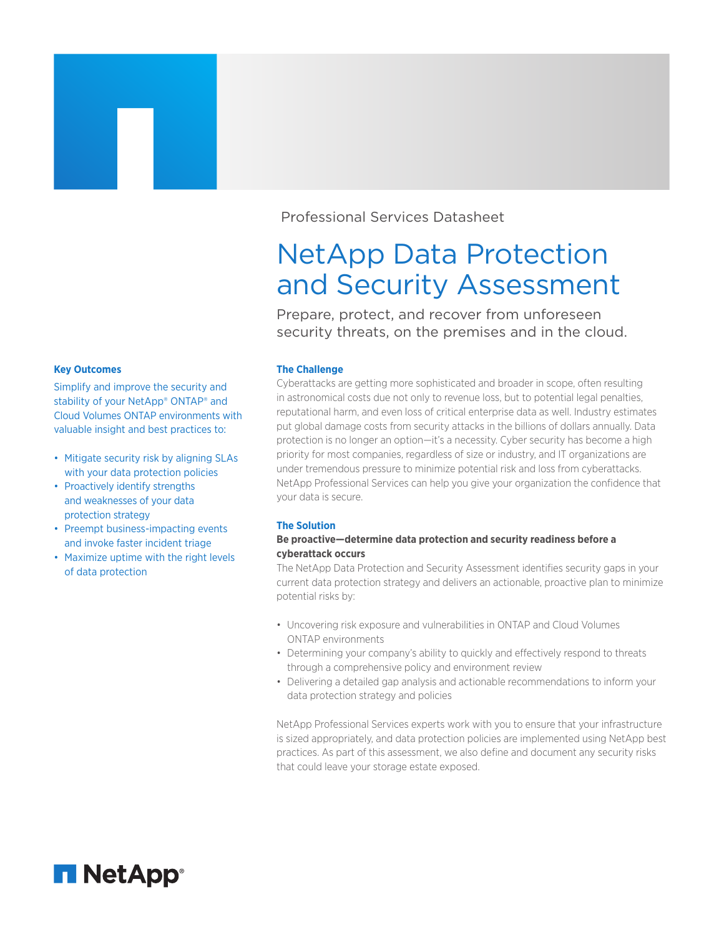Professional Services Datasheet

# NetApp Data Protection and Security Assessment

Prepare, protect, and recover from unforeseen security threats, on the premises and in the cloud.

## **The Challenge**

Cyberattacks are getting more sophisticated and broader in scope, often resulting in astronomical costs due not only to revenue loss, but to potential legal penalties, reputational harm, and even loss of critical enterprise data as well. Industry estimates put global damage costs from security attacks in the billions of dollars annually. Data protection is no longer an option—it's a necessity. Cyber security has become a high priority for most companies, regardless of size or industry, and IT organizations are under tremendous pressure to minimize potential risk and loss from cyberattacks. NetApp Professional Services can help you give your organization the confidence that your data is secure.

## **The Solution**

## **Be proactive—determine data protection and security readiness before a cyberattack occurs**

The NetApp Data Protection and Security Assessment identifies security gaps in your current data protection strategy and delivers an actionable, proactive plan to minimize potential risks by:

- Uncovering risk exposure and vulnerabilities in ONTAP and Cloud Volumes ONTAP environments
- Determining your company's ability to quickly and effectively respond to threats through a comprehensive policy and environment review
- Delivering a detailed gap analysis and actionable recommendations to inform your data protection strategy and policies

NetApp Professional Services experts work with you to ensure that your infrastructure is sized appropriately, and data protection policies are implemented using NetApp best practices. As part of this assessment, we also define and document any security risks that could leave your storage estate exposed.

#### **Key Outcomes**

Simplify and improve the security and stability of your NetApp® ONTAP® and Cloud Volumes ONTAP environments with valuable insight and best practices to:

- Mitigate security risk by aligning SLAs with your data protection policies
- Proactively identify strengths and weaknesses of your data protection strategy
- Preempt business-impacting events and invoke faster incident triage
- Maximize uptime with the right levels of data protection